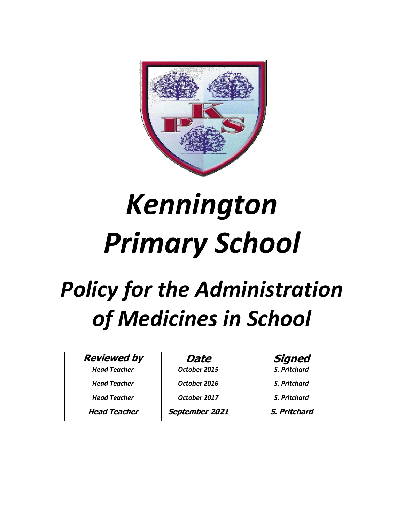

# *Kennington Primary School*

## *Policy for the Administration of Medicines in School*

| <b>Reviewed by</b>  | Date           | <b>Signed</b> |
|---------------------|----------------|---------------|
| <b>Head Teacher</b> | October 2015   | S. Pritchard  |
| <b>Head Teacher</b> | October 2016   | S. Pritchard  |
| <b>Head Teacher</b> | October 2017   | S. Pritchard  |
| <b>Head Teacher</b> | September 2021 | S. Pritchard  |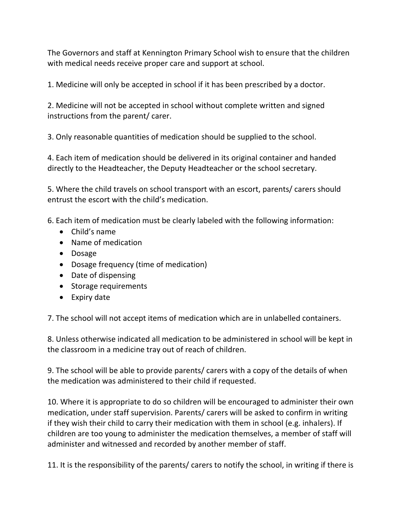The Governors and staff at Kennington Primary School wish to ensure that the children with medical needs receive proper care and support at school.

1. Medicine will only be accepted in school if it has been prescribed by a doctor.

2. Medicine will not be accepted in school without complete written and signed instructions from the parent/ carer.

3. Only reasonable quantities of medication should be supplied to the school.

4. Each item of medication should be delivered in its original container and handed directly to the Headteacher, the Deputy Headteacher or the school secretary.

5. Where the child travels on school transport with an escort, parents/ carers should entrust the escort with the child's medication.

6. Each item of medication must be clearly labeled with the following information:

- Child's name
- Name of medication
- Dosage
- Dosage frequency (time of medication)
- Date of dispensing
- Storage requirements
- Expiry date

7. The school will not accept items of medication which are in unlabelled containers.

8. Unless otherwise indicated all medication to be administered in school will be kept in the classroom in a medicine tray out of reach of children.

9. The school will be able to provide parents/ carers with a copy of the details of when the medication was administered to their child if requested.

10. Where it is appropriate to do so children will be encouraged to administer their own medication, under staff supervision. Parents/ carers will be asked to confirm in writing if they wish their child to carry their medication with them in school (e.g. inhalers). If children are too young to administer the medication themselves, a member of staff will administer and witnessed and recorded by another member of staff.

11. It is the responsibility of the parents/ carers to notify the school, in writing if there is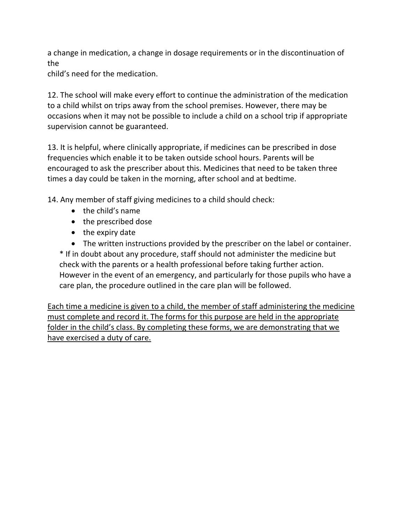a change in medication, a change in dosage requirements or in the discontinuation of the

child's need for the medication.

12. The school will make every effort to continue the administration of the medication to a child whilst on trips away from the school premises. However, there may be occasions when it may not be possible to include a child on a school trip if appropriate supervision cannot be guaranteed.

13. It is helpful, where clinically appropriate, if medicines can be prescribed in dose frequencies which enable it to be taken outside school hours. Parents will be encouraged to ask the prescriber about this. Medicines that need to be taken three times a day could be taken in the morning, after school and at bedtime.

14. Any member of staff giving medicines to a child should check:

- $\bullet$  the child's name
- the prescribed dose
- $\bullet$  the expiry date
- The written instructions provided by the prescriber on the label or container.

\* If in doubt about any procedure, staff should not administer the medicine but check with the parents or a health professional before taking further action. However in the event of an emergency, and particularly for those pupils who have a care plan, the procedure outlined in the care plan will be followed.

Each time a medicine is given to a child, the member of staff administering the medicine must complete and record it. The forms for this purpose are held in the appropriate folder in the child's class. By completing these forms, we are demonstrating that we have exercised a duty of care.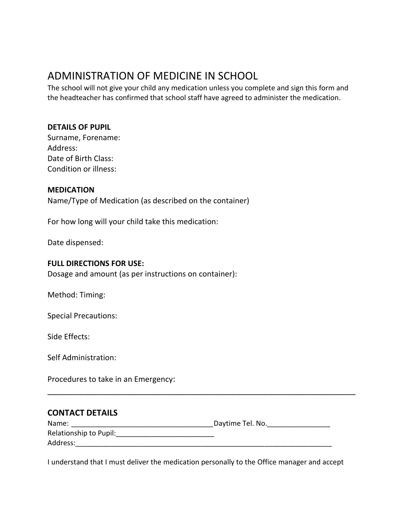### ADMINISTRATION OF MEDICINE IN SCHOOL

The school will not give your child any medication unless you complete and sign this form and the headteacher has confirmed that school staff have agreed to administer the medication.

#### **DETAILS OF PUPIL**

| Surname, Forename:    |
|-----------------------|
| Address:              |
| Date of Birth Class:  |
| Condition or illness: |

#### **MEDICATION**

Name/Type of Medication (as described on the container)

For how long will your child take this medication:

Date dispensed:

#### **FULL DIRECTIONS FOR USE:**

Dosage and amount (as per instructions on container):

Method: Timing:

Special Precautions:

Side Effects:

Self Administration:

Procedures to take in an Emergency:

#### **CONTACT DETAILS**

| Name:                  | Daytime Tel. No. |
|------------------------|------------------|
| Relationship to Pupil: |                  |
| Address:               |                  |

\_\_\_\_\_\_\_\_\_\_\_\_\_\_\_\_\_\_\_\_\_\_\_\_\_\_\_\_\_\_\_\_\_\_\_\_\_\_\_\_\_\_\_\_\_\_\_\_\_\_\_\_\_\_\_\_\_\_\_\_\_\_\_\_\_\_\_

I understand that I must deliver the medication personally to the Office manager and accept